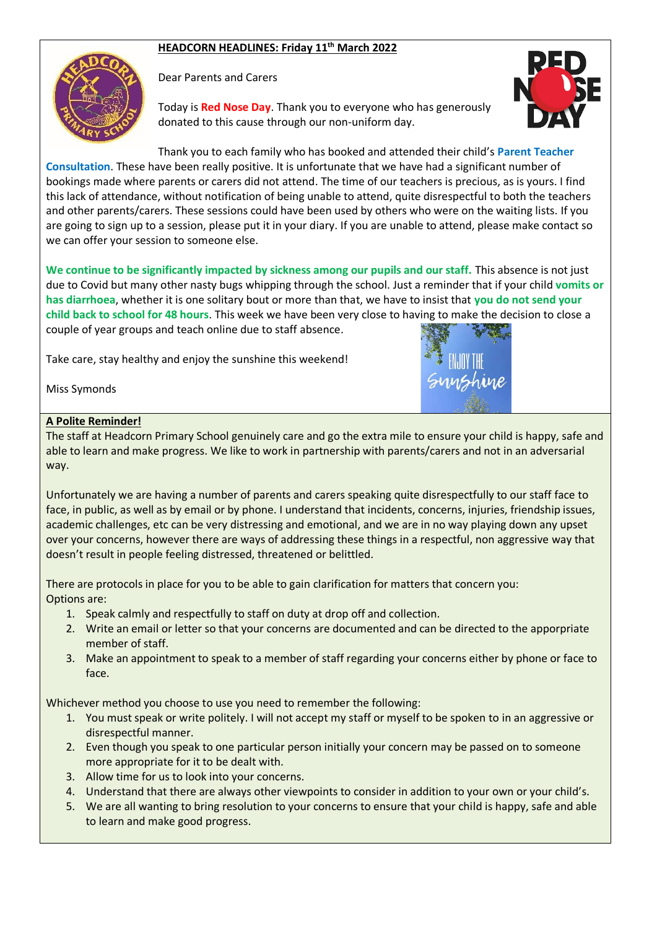## **HEADCORN HEADLINES: Friday 11th March 2022**



Dear Parents and Carers

Today is **Red Nose Day**. Thank you to everyone who has generously donated to this cause through our non-uniform day.



Thank you to each family who has booked and attended their child's **Parent Teacher** 

**Consultation**. These have been really positive. It is unfortunate that we have had a significant number of bookings made where parents or carers did not attend. The time of our teachers is precious, as is yours. I find this lack of attendance, without notification of being unable to attend, quite disrespectful to both the teachers and other parents/carers. These sessions could have been used by others who were on the waiting lists. If you are going to sign up to a session, please put it in your diary. If you are unable to attend, please make contact so we can offer your session to someone else.

**We continue to be significantly impacted by sickness among our pupils and our staff.** This absence is not just due to Covid but many other nasty bugs whipping through the school. Just a reminder that if your child **vomits or has diarrhoea**, whether it is one solitary bout or more than that, we have to insist that **you do not send your child back to school for 48 hours**. This week we have been very close to having to make the decision to close a couple of year groups and teach online due to staff absence.

Take care, stay healthy and enjoy the sunshine this weekend!

Miss Symonds

#### **A Polite Reminder!**

The staff at Headcorn Primary School genuinely care and go the extra mile to ensure your child is happy, safe and able to learn and make progress. We like to work in partnership with parents/carers and not in an adversarial way.

Unfortunately we are having a number of parents and carers speaking quite disrespectfully to our staff face to face, in public, as well as by email or by phone. I understand that incidents, concerns, injuries, friendship issues, academic challenges, etc can be very distressing and emotional, and we are in no way playing down any upset over your concerns, however there are ways of addressing these things in a respectful, non aggressive way that doesn't result in people feeling distressed, threatened or belittled.

There are protocols in place for you to be able to gain clarification for matters that concern you: Options are:

- 1. Speak calmly and respectfully to staff on duty at drop off and collection.
- 2. Write an email or letter so that your concerns are documented and can be directed to the apporpriate member of staff.
- 3. Make an appointment to speak to a member of staff regarding your concerns either by phone or face to face.

Whichever method you choose to use you need to remember the following:

- 1. You must speak or write politely. I will not accept my staff or myself to be spoken to in an aggressive or disrespectful manner.
- 2. Even though you speak to one particular person initially your concern may be passed on to someone more appropriate for it to be dealt with.
- 3. Allow time for us to look into your concerns.
- 4. Understand that there are always other viewpoints to consider in addition to your own or your child's.
- 5. We are all wanting to bring resolution to your concerns to ensure that your child is happy, safe and able to learn and make good progress.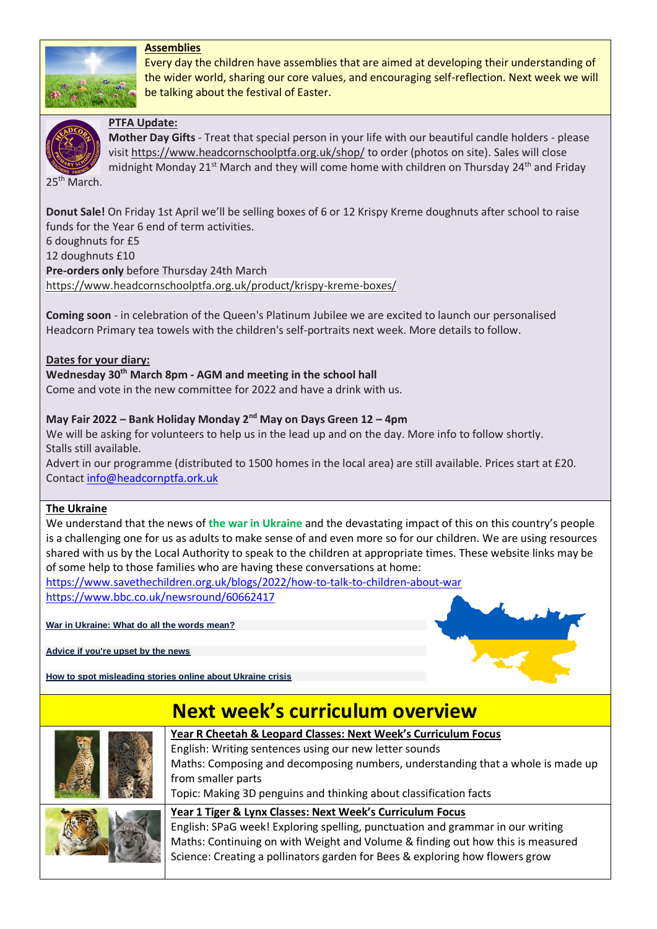## **Assemblies**



Every day the children have assemblies that are aimed at developing their understanding of the wider world, sharing our core values, and encouraging self-reflection. Next week we will be talking about the festival of Easter.



### **PTFA Update:**

**Mother Day Gifts** - Treat that special person in your life with our beautiful candle holders - please visit <https://www.headcornschoolptfa.org.uk/shop/> to order (photos on site). Sales will close midnight Monday 21<sup>st</sup> March and they will come home with children on Thursday 24<sup>th</sup> and Friday

25<sup>th</sup> March.

**Donut Sale!** On Friday 1st April we'll be selling boxes of 6 or 12 Krispy Kreme doughnuts after school to raise funds for the Year 6 end of term activities. 6 doughnuts for £5 12 doughnuts £10 **Pre-orders only** before Thursday 24th March <https://www.headcornschoolptfa.org.uk/product/krispy-kreme-boxes/>

**Coming soon** - in celebration of the Queen's Platinum Jubilee we are excited to launch our personalised Headcorn Primary tea towels with the children's self-portraits next week. More details to follow.

#### **Dates for your diary:**

**Wednesday 30th March 8pm - AGM and meeting in the school hall** Come and vote in the new committee for 2022 and have a drink with us.

#### **May Fair 2022 – Bank Holiday Monday 2nd May on Days Green 12 – 4pm**

We will be asking for volunteers to help us in the lead up and on the day. More info to follow shortly. Stalls still available.

Advert in our programme (distributed to 1500 homes in the local area) are still available. Prices start at £20. Contact [info@headcornptfa.ork.uk](mailto:info@headcornptfa.ork.uk)

#### **The Ukraine**

We understand that the news of **the war in Ukraine** and the devastating impact of this on this country's people is a challenging one for us as adults to make sense of and even more so for our children. We are using resources shared with us by the Local Authority to speak to the children at appropriate times. These website links may be of some help to those families who are having these conversations at home:

<https://www.savethechildren.org.uk/blogs/2022/how-to-talk-to-children-about-war> <https://www.bbc.co.uk/newsround/60662417>

**[War in Ukraine: What do all the words mean?](https://www.bbc.co.uk/newsround/60536983)**

**[Advice if you're upset by the news](https://www.bbc.co.uk/newsround/13865002)**

**[How to spot misleading stories online about Ukraine crisis](https://www.bbc.co.uk/newsround/60568631)**

# **Next week's curriculum overview**



**Year R Cheetah & Leopard Classes: Next Week's Curriculum Focus** English: Writing sentences using our new letter sounds Maths: Composing and decomposing numbers, understanding that a whole is made up from smaller parts

Topic: Making 3D penguins and thinking about classification facts



**Year 1 Tiger & Lynx Classes: Next Week's Curriculum Focus** English: SPaG week! Exploring spelling, punctuation and grammar in our writing Maths: Continuing on with Weight and Volume & finding out how this is measured Science: Creating a pollinators garden for Bees & exploring how flowers grow